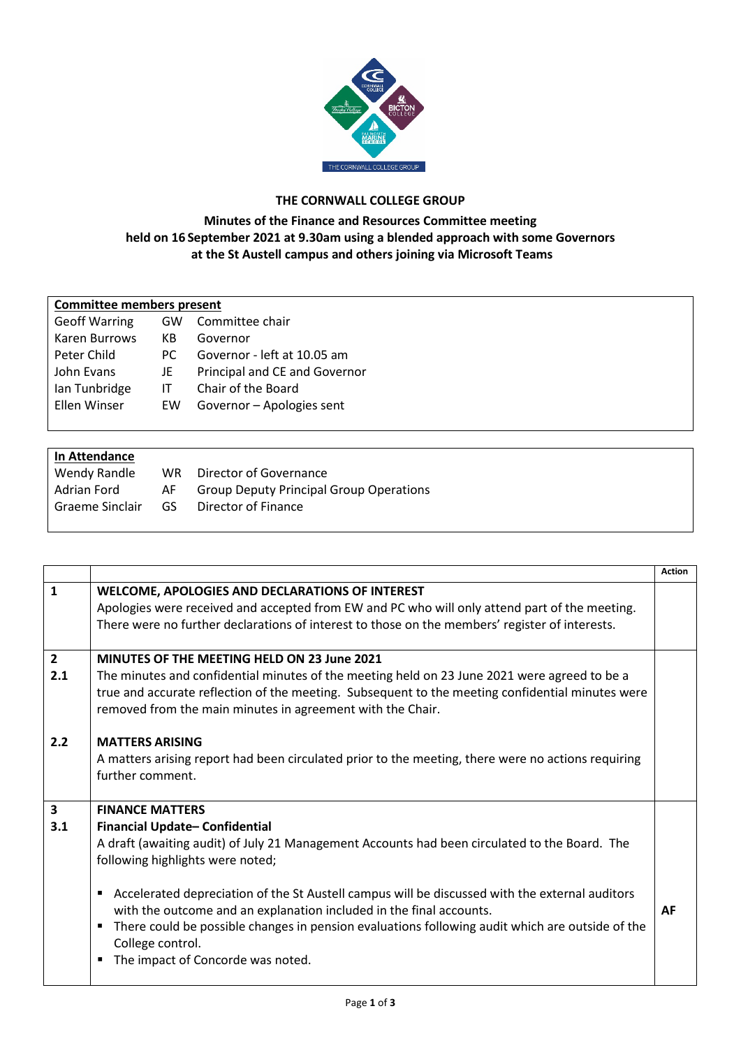

## **THE CORNWALL COLLEGE GROUP**

## **Minutes of the Finance and Resources Committee meeting held on 16 September 2021 at 9.30am using a blended approach with some Governors at the St Austell campus and others joining via Microsoft Teams**

| <b>Committee members present</b> |     |                               |  |  |  |
|----------------------------------|-----|-------------------------------|--|--|--|
| <b>Geoff Warring</b>             | GW. | Committee chair               |  |  |  |
| Karen Burrows                    | КB  | Governor                      |  |  |  |
| Peter Child                      | PC. | Governor - left at 10.05 am   |  |  |  |
| John Evans                       | JE  | Principal and CE and Governor |  |  |  |
| Ian Tunbridge                    | IТ  | Chair of the Board            |  |  |  |
| Ellen Winser                     | EW  | Governor - Apologies sent     |  |  |  |
|                                  |     |                               |  |  |  |

| In Attendance<br>Wendy Randle | WR. | Director of Governance                         |
|-------------------------------|-----|------------------------------------------------|
| Adrian Ford                   | AF. | <b>Group Deputy Principal Group Operations</b> |
| Graeme Sinclair               | GS  | Director of Finance                            |

|                       |                                                                                                                                                                                                                                                                                                                                                                                                                                                                                                                                             | <b>Action</b> |
|-----------------------|---------------------------------------------------------------------------------------------------------------------------------------------------------------------------------------------------------------------------------------------------------------------------------------------------------------------------------------------------------------------------------------------------------------------------------------------------------------------------------------------------------------------------------------------|---------------|
| $\mathbf{1}$          | WELCOME, APOLOGIES AND DECLARATIONS OF INTEREST<br>Apologies were received and accepted from EW and PC who will only attend part of the meeting.<br>There were no further declarations of interest to those on the members' register of interests.                                                                                                                                                                                                                                                                                          |               |
| $\overline{2}$<br>2.1 | <b>MINUTES OF THE MEETING HELD ON 23 June 2021</b><br>The minutes and confidential minutes of the meeting held on 23 June 2021 were agreed to be a<br>true and accurate reflection of the meeting. Subsequent to the meeting confidential minutes were<br>removed from the main minutes in agreement with the Chair.                                                                                                                                                                                                                        |               |
| 2.2                   | <b>MATTERS ARISING</b><br>A matters arising report had been circulated prior to the meeting, there were no actions requiring<br>further comment.                                                                                                                                                                                                                                                                                                                                                                                            |               |
| $\mathbf{3}$<br>3.1   | <b>FINANCE MATTERS</b><br>Financial Update-Confidential<br>A draft (awaiting audit) of July 21 Management Accounts had been circulated to the Board. The<br>following highlights were noted;<br>Accelerated depreciation of the St Austell campus will be discussed with the external auditors<br>٠<br>with the outcome and an explanation included in the final accounts.<br>There could be possible changes in pension evaluations following audit which are outside of the<br>п<br>College control.<br>The impact of Concorde was noted. | AF            |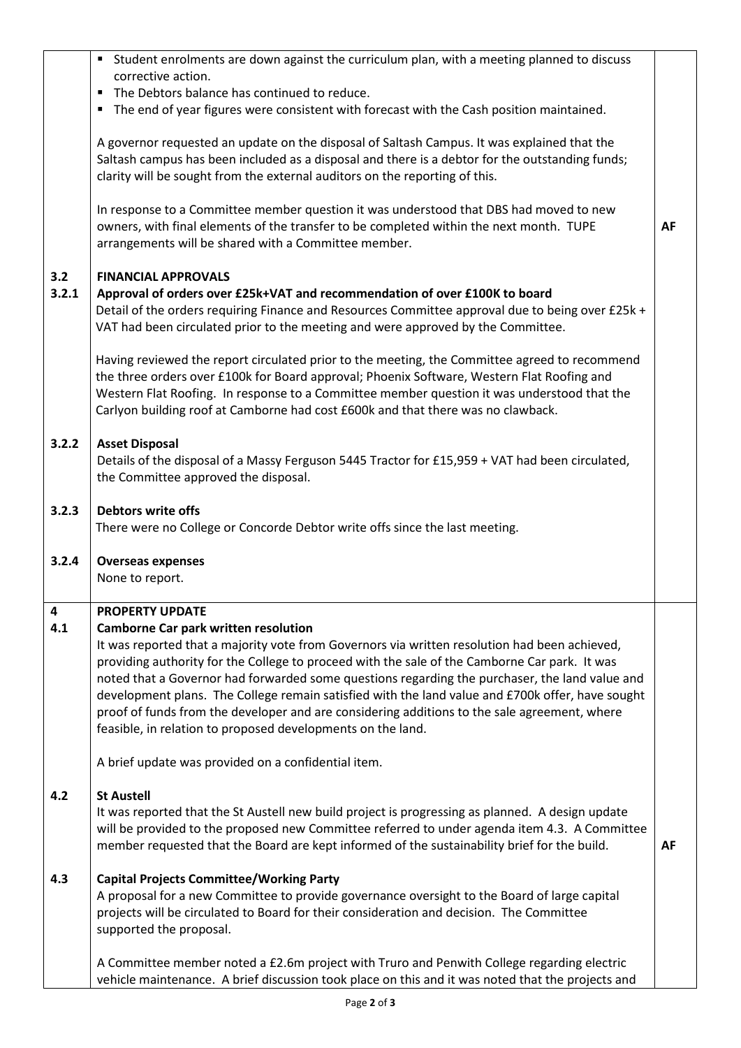|       | " Student enrolments are down against the curriculum plan, with a meeting planned to discuss                                                                                                    |           |
|-------|-------------------------------------------------------------------------------------------------------------------------------------------------------------------------------------------------|-----------|
|       | corrective action.<br>The Debtors balance has continued to reduce.<br>$\blacksquare$                                                                                                            |           |
|       | The end of year figures were consistent with forecast with the Cash position maintained.                                                                                                        |           |
|       | A governor requested an update on the disposal of Saltash Campus. It was explained that the                                                                                                     |           |
|       | Saltash campus has been included as a disposal and there is a debtor for the outstanding funds;                                                                                                 |           |
|       | clarity will be sought from the external auditors on the reporting of this.                                                                                                                     |           |
|       | In response to a Committee member question it was understood that DBS had moved to new                                                                                                          |           |
|       | owners, with final elements of the transfer to be completed within the next month. TUPE                                                                                                         | <b>AF</b> |
|       | arrangements will be shared with a Committee member.                                                                                                                                            |           |
| 3.2   | <b>FINANCIAL APPROVALS</b>                                                                                                                                                                      |           |
| 3.2.1 | Approval of orders over £25k+VAT and recommendation of over £100K to board                                                                                                                      |           |
|       | Detail of the orders requiring Finance and Resources Committee approval due to being over £25k +<br>VAT had been circulated prior to the meeting and were approved by the Committee.            |           |
|       |                                                                                                                                                                                                 |           |
|       | Having reviewed the report circulated prior to the meeting, the Committee agreed to recommend                                                                                                   |           |
|       | the three orders over £100k for Board approval; Phoenix Software, Western Flat Roofing and<br>Western Flat Roofing. In response to a Committee member question it was understood that the       |           |
|       | Carlyon building roof at Camborne had cost £600k and that there was no clawback.                                                                                                                |           |
|       |                                                                                                                                                                                                 |           |
| 3.2.2 | <b>Asset Disposal</b><br>Details of the disposal of a Massy Ferguson 5445 Tractor for £15,959 + VAT had been circulated,                                                                        |           |
|       | the Committee approved the disposal.                                                                                                                                                            |           |
| 3.2.3 | <b>Debtors write offs</b>                                                                                                                                                                       |           |
|       | There were no College or Concorde Debtor write offs since the last meeting.                                                                                                                     |           |
| 3.2.4 | <b>Overseas expenses</b>                                                                                                                                                                        |           |
|       | None to report.                                                                                                                                                                                 |           |
| 4     | <b>PROPERTY UPDATE</b>                                                                                                                                                                          |           |
| 4.1   | <b>Camborne Car park written resolution</b>                                                                                                                                                     |           |
|       | It was reported that a majority vote from Governors via written resolution had been achieved,<br>providing authority for the College to proceed with the sale of the Camborne Car park. It was  |           |
|       | noted that a Governor had forwarded some questions regarding the purchaser, the land value and                                                                                                  |           |
|       | development plans. The College remain satisfied with the land value and £700k offer, have sought                                                                                                |           |
|       | proof of funds from the developer and are considering additions to the sale agreement, where                                                                                                    |           |
|       | feasible, in relation to proposed developments on the land.                                                                                                                                     |           |
|       | A brief update was provided on a confidential item.                                                                                                                                             |           |
| 4.2   | <b>St Austell</b>                                                                                                                                                                               |           |
|       | It was reported that the St Austell new build project is progressing as planned. A design update                                                                                                |           |
|       | will be provided to the proposed new Committee referred to under agenda item 4.3. A Committee<br>member requested that the Board are kept informed of the sustainability brief for the build.   | AF        |
|       |                                                                                                                                                                                                 |           |
| 4.3   | <b>Capital Projects Committee/Working Party</b>                                                                                                                                                 |           |
|       | A proposal for a new Committee to provide governance oversight to the Board of large capital                                                                                                    |           |
|       | projects will be circulated to Board for their consideration and decision. The Committee<br>supported the proposal.                                                                             |           |
|       |                                                                                                                                                                                                 |           |
|       |                                                                                                                                                                                                 |           |
|       | A Committee member noted a £2.6m project with Truro and Penwith College regarding electric<br>vehicle maintenance. A brief discussion took place on this and it was noted that the projects and |           |